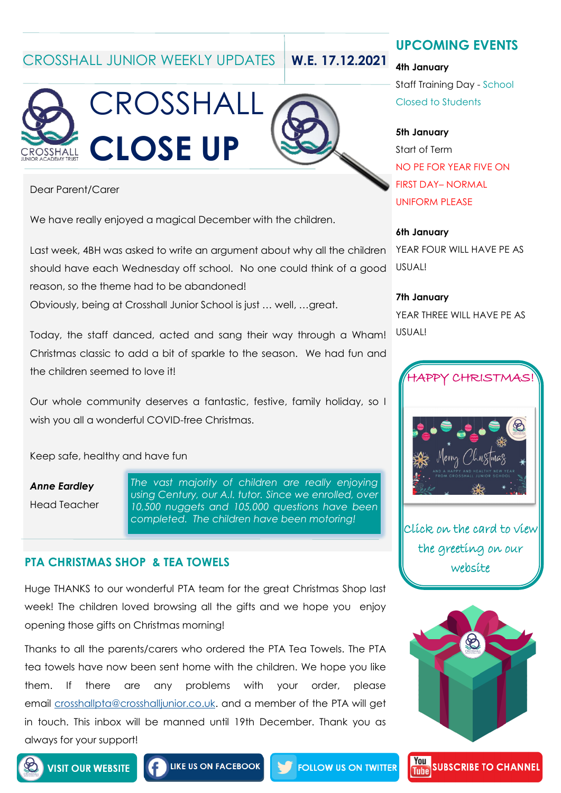CROSSHALL JUNIOR WEEKLY UPDATES **W.E. 17.12.2021**





Dear Parent/Carer

We have really enjoyed a magical December with the children.

Last week, 4BH was asked to write an argument about why all the children should have each Wednesday off school. No one could think of a good reason, so the theme had to be abandoned!

Obviously, being at Crosshall Junior School is just … well, …great.

Today, the staff danced, acted and sang their way through a Wham! Christmas classic to add a bit of sparkle to the season. We had fun and the children seemed to love it!

Our whole community deserves a fantastic, festive, family holiday, so I wish you all a wonderful COVID-free Christmas.

Keep safe, healthy and have fun

*Anne Eardley* Head Teacher *The vast majority of children are really enjoying using Century, our A.I. tutor. Since we enrolled, over 10,500 nuggets and 105,000 questions have been completed. The children have been motoring!*

### **PTA CHRISTMAS SHOP & TEA TOWELS**

Huge THANKS to our wonderful PTA team for the great Christmas Shop last week! The children loved browsing all the gifts and we hope you enjoy opening those gifts on Christmas morning!

Thanks to all the parents/carers who ordered the PTA Tea Towels. The PTA tea towels have now been sent home with the children. We hope you like them. If there are any problems with your order, please email [crosshallpta@crosshalljunior.co.uk.](mailto:crosshallpta@crosshalljunior.co.uk) and a member of the PTA will get in touch. This inbox will be manned until 19th December. Thank you as always for your support!

**UPCOMING EVENTS**

**4th January**

Staff Training Day - School Closed to Students

### **5th January**

Start of Term NO PE FOR YEAR FIVE ON FIRST DAY– NORMAL UNIFORM PLEASE

#### **6th January**

YEAR FOUR WILL HAVE PE AS USUAL!

#### **7th January**

YEAR THREE WILL HAVE PE AS USUAL!



Click on the card to view the greeting on our website



**SUBSCRIBE TO CHANNEL** 

You

**Tuhe** 



**FOLLOW US ON TWITTER**